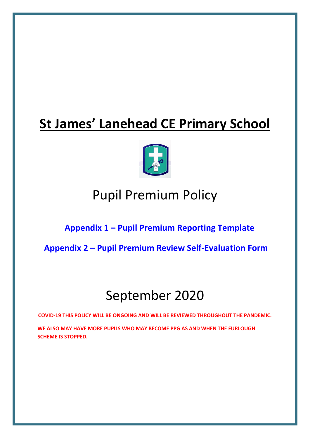# **St James' Lanehead CE Primary School**



# Pupil Premium Policy

# **Appendix 1 – [Pupil Premium Reporting Template](#page-12-0)**

**Appendix 2 – [Pupil Premium Review Self-Evaluation Form](#page-14-0)**

# September 2020

**COVID-19 THIS POLICY WILL BE ONGOING AND WILL BE REVIEWED THROUGHOUT THE PANDEMIC.** 

**WE ALSO MAY HAVE MORE PUPILS WHO MAY BECOME PPG AS AND WHEN THE FURLOUGH SCHEME IS STOPPED.**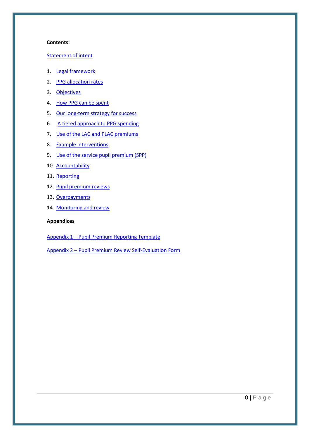#### **Contents:**

#### [Statement of intent](#page-2-0)

- 1. [Legal framework](#page-3-0)
- 2. [PPG allocation rates](#page-3-1)
- 3. [Objectives](#page-3-2)
- 4. [How PPG can be spent](#page-4-0)
- 5. [Our long-term strategy for success](#page-4-1)
- 6. [A tiered approach to PPG spending](#page-6-0)
- 7. [Use of the LAC and PLAC premiums](#page-6-1)
- 8. [Example interventions](#page-7-0)
- 9. [Use of the service pupil premium \(SPP\)](#page-8-0)
- 10. [Accountability](#page-9-0)
- 11. [Reporting](#page-9-1)
- 12. [Pupil premium reviews](#page-10-0)
- 13. [Overpayments](#page-10-1)
- 14. [Monitoring and review](#page-10-2)

### **Appendices**

Appendix 1 – [Pupil Premium Reporting Template](#page-12-0)

Appendix 2 – [Pupil Premium Review Self-Evaluation Form](#page-14-0)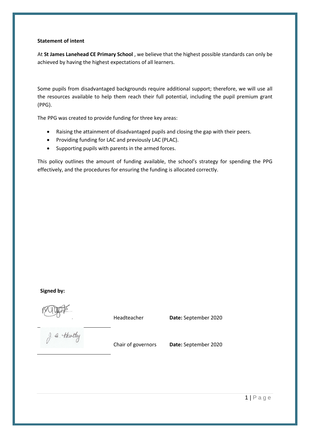#### <span id="page-2-0"></span>**Statement of intent**

At **St James Lanehead CE Primary School** , we believe that the highest possible standards can only be achieved by having the highest expectations of all learners.

Some pupils from disadvantaged backgrounds require additional support; therefore, we will use all the resources available to help them reach their full potential, including the pupil premium grant (PPG).

The PPG was created to provide funding for three key areas:

- Raising the attainment of disadvantaged pupils and closing the gap with their peers.
- Providing funding for LAC and previously LAC (PLAC).
- Supporting pupils with parents in the armed forces.

This policy outlines the amount of funding available, the school's strategy for spending the PPG effectively, and the procedures for ensuring the funding is allocated correctly.

#### **Signed by:**

Headteacher **Date:** September 2020

g. a. thatly

Chair of governors **Date:** September 2020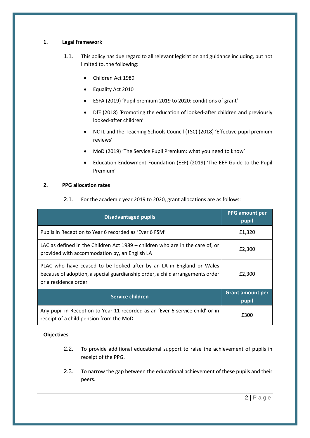# <span id="page-3-0"></span>**1. Legal framework**

- 1.1. This policy has due regard to all relevant legislation and guidance including, but not limited to, the following:
	- Children Act 1989
	- Equality Act 2010
	- ESFA (2019) 'Pupil premium 2019 to 2020: conditions of grant'
	- DfE (2018) 'Promoting the education of looked-after children and previously looked-after children'
	- NCTL and the Teaching Schools Council (TSC) (2018) 'Effective pupil premium reviews'
	- MoD (2019) 'The Service Pupil Premium: what you need to know'
	- Education Endowment Foundation (EEF) (2019) 'The EEF Guide to the Pupil Premium'

# <span id="page-3-1"></span>**2. PPG allocation rates**

2.1. For the academic year 2019 to 2020, grant allocations are as follows:

| <b>Disadvantaged pupils</b>                                                                                                                                                   | <b>PPG</b> amount per<br>pupil   |
|-------------------------------------------------------------------------------------------------------------------------------------------------------------------------------|----------------------------------|
| Pupils in Reception to Year 6 recorded as 'Ever 6 FSM'                                                                                                                        | £1,320                           |
| LAC as defined in the Children Act 1989 – children who are in the care of, or<br>provided with accommodation by, an English LA                                                | £2,300                           |
| PLAC who have ceased to be looked after by an LA in England or Wales<br>because of adoption, a special guardianship order, a child arrangements order<br>or a residence order | £2,300                           |
| Service children                                                                                                                                                              | <b>Grant amount per</b><br>pupil |
| Any pupil in Reception to Year 11 recorded as an 'Ever 6 service child' or in<br>receipt of a child pension from the MoD                                                      | £300                             |

#### <span id="page-3-2"></span>**Objectives**

- 2.2. To provide additional educational support to raise the achievement of pupils in receipt of the PPG.
- 2.3. To narrow the gap between the educational achievement of these pupils and their peers.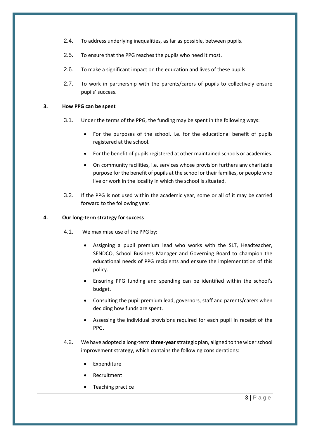- 2.4. To address underlying inequalities, as far as possible, between pupils.
- 2.5. To ensure that the PPG reaches the pupils who need it most.
- 2.6. To make a significant impact on the education and lives of these pupils.
- 2.7. To work in partnership with the parents/carers of pupils to collectively ensure pupils' success.

### <span id="page-4-0"></span>**3. How PPG can be spent**

- 3.1. Under the terms of the PPG, the funding may be spent in the following ways:
	- For the purposes of the school, i.e. for the educational benefit of pupils registered at the school.
	- For the benefit of pupils registered at other maintained schools or academies.
	- On community facilities, i.e. services whose provision furthers any charitable purpose for the benefit of pupils at the school or their families, or people who live or work in the locality in which the school is situated.
- 3.2. If the PPG is not used within the academic year, some or all of it may be carried forward to the following year.

### <span id="page-4-1"></span>**4. Our long-term strategy for success**

- 4.1. We maximise use of the PPG by:
	- Assigning a pupil premium lead who works with the SLT, Headteacher, SENDCO, School Business Manager and Governing Board to champion the educational needs of PPG recipients and ensure the implementation of this policy.
	- Ensuring PPG funding and spending can be identified within the school's budget.
	- Consulting the pupil premium lead, governors, staff and parents/carers when deciding how funds are spent.
	- Assessing the individual provisions required for each pupil in receipt of the PPG.
- 4.2. We have adopted a long-term **three-year**strategic plan, aligned to the wider school improvement strategy, which contains the following considerations:
	- **Expenditure**
	- **Recruitment**
	- Teaching practice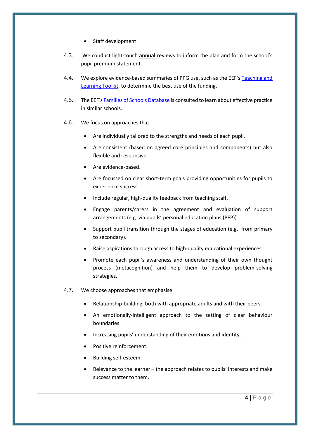- Staff development
- 4.3. We conduct light-touch **annual** reviews to inform the plan and form the school's pupil premium statement.
- 4.4. We explore evidence-based summaries of PPG use, such as the EEF's Teaching and [Learning Toolkit,](https://educationendowmentfoundation.org.uk/evidence-summaries/teaching-learning-toolkit) to determine the best use of the funding.
- 4.5. The EEF's [Families of Schools Database](https://educationendowmentfoundation.org.uk/tools/families-of-schools-database) is consulted to learn about effective practice in similar schools.
- 4.6. We focus on approaches that:
	- Are individually tailored to the strengths and needs of each pupil.
	- Are consistent (based on agreed core principles and components) but also flexible and responsive.
	- Are evidence-based.
	- Are focussed on clear short-term goals providing opportunities for pupils to experience success.
	- Include regular, high-quality feedback from teaching staff.
	- Engage parents/carers in the agreement and evaluation of support arrangements (e.g. via pupils' personal education plans (PEP)).
	- Support pupil transition through the stages of education (e.g. from primary to secondary).
	- Raise aspirations through access to high-quality educational experiences.
	- Promote each pupil's awareness and understanding of their own thought process (metacognition) and help them to develop problem-solving strategies.
- 4.7. We choose approaches that emphasise:
	- Relationship-building, both with appropriate adults and with their peers.
	- An emotionally-intelligent approach to the setting of clear behaviour boundaries.
	- Increasing pupils' understanding of their emotions and identity.
	- Positive reinforcement.
	- Building self-esteem.
	- Relevance to the learner the approach relates to pupils' interests and make success matter to them.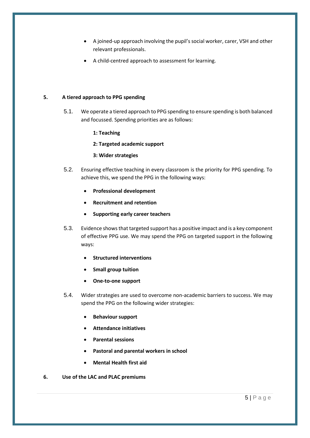- A joined-up approach involving the pupil's social worker, carer, VSH and other relevant professionals.
- A child-centred approach to assessment for learning.

# <span id="page-6-0"></span>**5. A tiered approach to PPG spending**

- 5.1. We operate a tiered approach to PPG spending to ensure spending is both balanced and focussed. Spending priorities are as follows:
	- **1: Teaching**
	- **2: Targeted academic support**
	- **3: Wider strategies**
- 5.2. Ensuring effective teaching in every classroom is the priority for PPG spending. To achieve this, we spend the PPG in the following ways:
	- **Professional development**
	- **Recruitment and retention**
	- **Supporting early career teachers**
- 5.3. Evidence shows that targeted support has a positive impact and is a key component of effective PPG use. We may spend the PPG on targeted support in the following ways:
	- **Structured interventions**
	- **Small group tuition**
	- **One-to-one support**
- 5.4. Wider strategies are used to overcome non-academic barriers to success. We may spend the PPG on the following wider strategies:
	- **Behaviour support**
	- **Attendance initiatives**
	- **Parental sessions**
	- **Pastoral and parental workers in school**
	- **Mental Health first aid**
- <span id="page-6-1"></span>**6. Use of the LAC and PLAC premiums**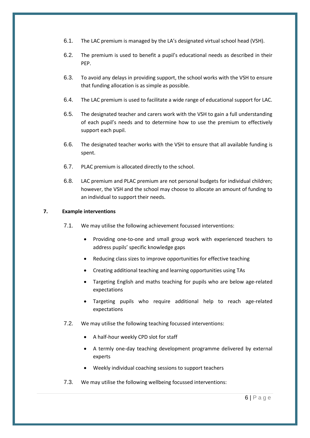- 6.1. The LAC premium is managed by the LA's designated virtual school head (VSH).
- 6.2. The premium is used to benefit a pupil's educational needs as described in their PEP.
- 6.3. To avoid any delays in providing support, the school works with the VSH to ensure that funding allocation is as simple as possible.
- 6.4. The LAC premium is used to facilitate a wide range of educational support for LAC.
- 6.5. The designated teacher and carers work with the VSH to gain a full understanding of each pupil's needs and to determine how to use the premium to effectively support each pupil.
- 6.6. The designated teacher works with the VSH to ensure that all available funding is spent.
- 6.7. PLAC premium is allocated directly to the school.
- 6.8. LAC premium and PLAC premium are not personal budgets for individual children; however, the VSH and the school may choose to allocate an amount of funding to an individual to support their needs.

#### <span id="page-7-0"></span>**7. Example interventions**

- 7.1. We may utilise the following achievement focussed interventions:
	- Providing one-to-one and small group work with experienced teachers to address pupils' specific knowledge gaps
	- Reducing class sizes to improve opportunities for effective teaching
	- Creating additional teaching and learning opportunities using TAs
	- Targeting English and maths teaching for pupils who are below age-related expectations
	- Targeting pupils who require additional help to reach age-related expectations
- 7.2. We may utilise the following teaching focussed interventions:
	- A half-hour weekly CPD slot for staff
	- A termly one-day teaching development programme delivered by external experts
	- Weekly individual coaching sessions to support teachers
- 7.3. We may utilise the following wellbeing focussed interventions: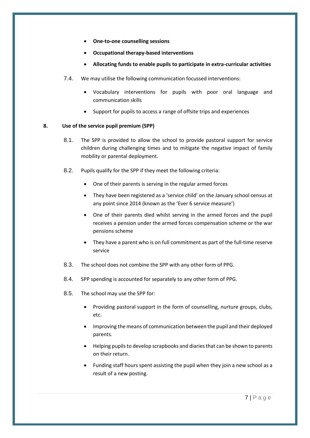- **One-to-one counselling sessions**
- **Occupational therapy-based interventions**
- **Allocating funds to enable pupils to participate in extra-curricular activities**
- 7.4. We may utilise the following communication focussed interventions:
	- Vocabulary interventions for pupils with poor oral language and communication skills
	- Support for pupils to access a range of offsite trips and experiences

# <span id="page-8-0"></span>**8. Use of the service pupil premium (SPP)**

- 8.1. The SPP is provided to allow the school to provide pastoral support for service children during challenging times and to mitigate the negative impact of family mobility or parental deployment.
- 8.2. Pupils qualify for the SPP if they meet the following criteria:
	- One of their parents is serving in the regular armed forces
	- They have been registered as a 'service child' on the January school census at any point since 2014 (known as the 'Ever 6 service measure')
	- One of their parents died whilst serving in the armed forces and the pupil receives a pension under the armed forces compensation scheme or the war pensions scheme
	- They have a parent who is on full commitment as part of the full-time reserve service
- 8.3. The school does not combine the SPP with any other form of PPG.
- 8.4. SPP spending is accounted for separately to any other form of PPG.
- 8.5. The school may use the SPP for:
	- Providing pastoral support in the form of counselling, nurture groups, clubs, etc.
	- Improving the means of communication between the pupil and their deployed parents.
	- Helping pupils to develop scrapbooks and diaries that can be shown to parents on their return.
	- Funding staff hours spent assisting the pupil when they join a new school as a result of a new posting.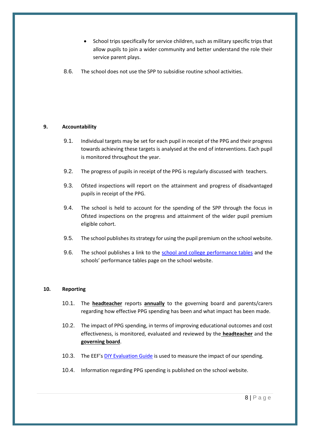- School trips specifically for service children, such as military specific trips that allow pupils to join a wider community and better understand the role their service parent plays.
- 8.6. The school does not use the SPP to subsidise routine school activities.

# <span id="page-9-0"></span>**9. Accountability**

- 9.1. Individual targets may be set for each pupil in receipt of the PPG and their progress towards achieving these targets is analysed at the end of interventions. Each pupil is monitored throughout the year.
- 9.2. The progress of pupils in receipt of the PPG is regularly discussed with teachers.
- 9.3. Ofsted inspections will report on the attainment and progress of disadvantaged pupils in receipt of the PPG.
- 9.4. The school is held to account for the spending of the SPP through the focus in Ofsted inspections on the progress and attainment of the wider pupil premium eligible cohort.
- 9.5. The school publishes its strategy for using the pupil premium on the school website.
- 9.6. The school publishes a link to the [school and college performance tables](https://www.compare-school-performance.service.gov.uk/) and the schools' performance tables page on the school website.

#### <span id="page-9-1"></span>**10. Reporting**

- 10.1. The **headteacher** reports **annually** to the governing board and parents/carers regarding how effective PPG spending has been and what impact has been made.
- 10.2. The impact of PPG spending, in terms of improving educational outcomes and cost effectiveness, is monitored, evaluated and reviewed by the **headteacher** and the **governing board**.
- 10.3. The EEF's [DIY Evaluation Guide](https://educationendowmentfoundation.org.uk/tools/diy-guide/getting-started/) is used to measure the impact of our spending.
- 10.4. Information regarding PPG spending is published on the school website.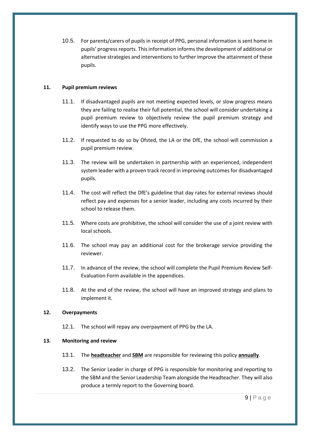10.5. For parents/carers of pupils in receipt of PPG, personal information is sent home in pupils' progress reports. This information informs the development of additional or alternative strategies and interventions to further improve the attainment of these pupils.

### <span id="page-10-0"></span>**11. Pupil premium reviews**

- 11.1. If disadvantaged pupils are not meeting expected levels, or slow progress means they are failing to realise their full potential, the school will consider undertaking a pupil premium review to objectively review the pupil premium strategy and identify ways to use the PPG more effectively.
- 11.2. If requested to do so by Ofsted, the LA or the DfE, the school will commission a pupil premium review.
- 11.3. The review will be undertaken in partnership with an experienced, independent system leader with a proven track record in improving outcomes for disadvantaged pupils.
- 11.4. The cost will reflect the DfE's guideline that day rates for external reviews should reflect pay and expenses for a senior leader, including any costs incurred by their school to release them.
- 11.5. Where costs are prohibitive, the school will consider the use of a joint review with local schools.
- 11.6. The school may pay an additional cost for the brokerage service providing the reviewer.
- 11.7. In advance of the review, the school will complete the Pupil Premium Review Self-Evaluation Form available in the appendices.
- 11.8. At the end of the review, the school will have an improved strategy and plans to implement it.

#### <span id="page-10-1"></span>**12. Overpayments**

12.1. The school will repay any overpayment of PPG by the LA.

#### <span id="page-10-2"></span>**13. Monitoring and review**

- 13.1. The **headteacher** and **SBM** are responsible for reviewing this policy **annually**.
- 13.2. The Senior Leader in charge of PPG is responsible for monitoring and reporting to the SBM and the Senior Leadership Team alongside the Headteacher. They will also produce a termly report to the Governing board.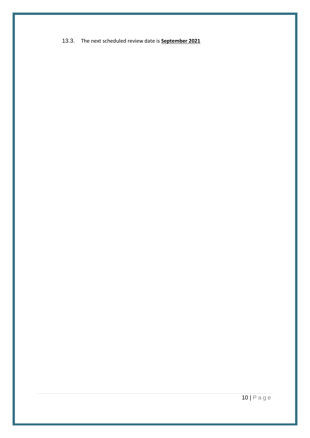13.3. The next scheduled review date is **September 2021**

10 | P a g e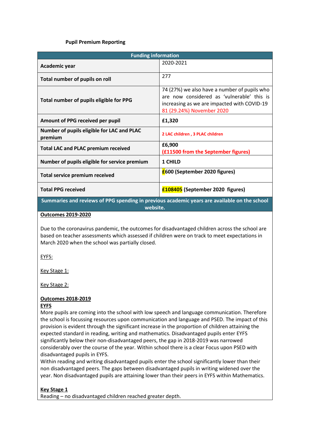### **Pupil Premium Reporting**

<span id="page-12-0"></span>

| <b>Funding information</b>                                                                   |                                                                                                                                                                        |  |  |  |
|----------------------------------------------------------------------------------------------|------------------------------------------------------------------------------------------------------------------------------------------------------------------------|--|--|--|
| Academic year                                                                                | 2020-2021                                                                                                                                                              |  |  |  |
| Total number of pupils on roll                                                               | 277                                                                                                                                                                    |  |  |  |
| Total number of pupils eligible for PPG                                                      | 74 (27%) we also have a number of pupils who<br>are now considered as 'vulnerable' this is<br>increasing as we are impacted with COVID-19<br>81 (29.24%) November 2020 |  |  |  |
| Amount of PPG received per pupil                                                             | £1,320                                                                                                                                                                 |  |  |  |
| Number of pupils eligible for LAC and PLAC<br>premium                                        | 2 LAC children, 3 PLAC children                                                                                                                                        |  |  |  |
| <b>Total LAC and PLAC premium received</b>                                                   | £6,900<br>(£11500 from the September figures)                                                                                                                          |  |  |  |
| Number of pupils eligible for service premium                                                | 1 CHILD                                                                                                                                                                |  |  |  |
| <b>Total service premium received</b>                                                        | <b>£600 (September 2020 figures)</b>                                                                                                                                   |  |  |  |
| <b>Total PPG received</b>                                                                    | £108405 (September 2020 figures)                                                                                                                                       |  |  |  |
| Summaries and reviews of PPG spending in previous academic years are available on the school |                                                                                                                                                                        |  |  |  |

**website.** 

#### **Outcomes 2019-2020**

Due to the coronavirus pandemic, the outcomes for disadvantaged children across the school are based on teacher assessments which assessed if children were on track to meet expectations in March 2020 when the school was partially closed.

EYFS:

Key Stage 1:

Key Stage 2:

# **Outcomes 2018-2019**

#### **EYFS**

More pupils are coming into the school with low speech and language communication. Therefore the school is focussing resources upon communication and language and PSED. The impact of this provision is evident through the significant increase in the proportion of children attaining the expected standard in reading, writing and mathematics. Disadvantaged pupils enter EYFS significantly below their non-disadvantaged peers, the gap in 2018-2019 was narrowed considerably over the course of the year. Within school there is a clear Focus upon PSED with disadvantaged pupils in EYFS.

Within reading and writing disadvantaged pupils enter the school significantly lower than their non disadvantaged peers. The gaps between disadvantaged pupils in writing widened over the year. Non disadvantaged pupils are attaining lower than their peers in EYFS within Mathematics.

# **Key Stage 1**

Reading – no disadvantaged children reached greater depth.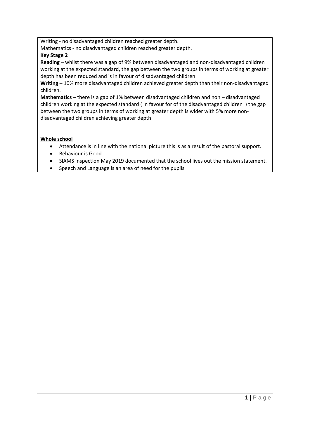Writing - no disadvantaged children reached greater depth.

Mathematics - no disadvantaged children reached greater depth.

# **Key Stage 2**

**Reading** – whilst there was a gap of 9% between disadvantaged and non-disadvantaged children working at the expected standard, the gap between the two groups in terms of working at greater depth has been reduced and is in favour of disadvantaged children.

**Writing** – 10% more disadvantaged children achieved greater depth than their non-disadvantaged children.

**Mathematics –** there is a gap of 1% between disadvantaged children and non – disadvantaged children working at the expected standard ( in favour for of the disadvantaged children ) the gap between the two groups in terms of working at greater depth is wider with 5% more nondisadvantaged children achieving greater depth

# **Whole school**

- Attendance is in line with the national picture this is as a result of the pastoral support.
- Behaviour is Good
- SIAMS inspection May 2019 documented that the school lives out the mission statement.
- Speech and Language is an area of need for the pupils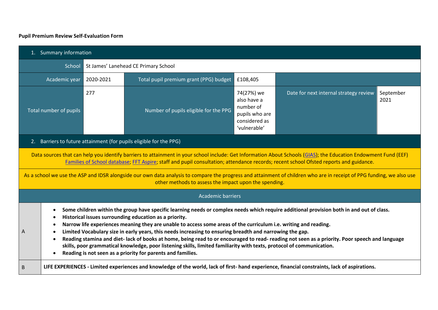# **Pupil Premium Review Self-Evaluation Form**

<span id="page-14-0"></span>

| 1. Summary information                                                                                                                                                                                                                                                                                                                                                                                                                                                                                                                                                                                                                                                                                                                                                            |                                                                                                                                                                                                                                                                                                                                                                                                                                                                                   |                                                                 |                                                                    |                                                                                           |                                        |                   |
|-----------------------------------------------------------------------------------------------------------------------------------------------------------------------------------------------------------------------------------------------------------------------------------------------------------------------------------------------------------------------------------------------------------------------------------------------------------------------------------------------------------------------------------------------------------------------------------------------------------------------------------------------------------------------------------------------------------------------------------------------------------------------------------|-----------------------------------------------------------------------------------------------------------------------------------------------------------------------------------------------------------------------------------------------------------------------------------------------------------------------------------------------------------------------------------------------------------------------------------------------------------------------------------|-----------------------------------------------------------------|--------------------------------------------------------------------|-------------------------------------------------------------------------------------------|----------------------------------------|-------------------|
|                                                                                                                                                                                                                                                                                                                                                                                                                                                                                                                                                                                                                                                                                                                                                                                   | School<br>St James' Lanehead CE Primary School                                                                                                                                                                                                                                                                                                                                                                                                                                    |                                                                 |                                                                    |                                                                                           |                                        |                   |
|                                                                                                                                                                                                                                                                                                                                                                                                                                                                                                                                                                                                                                                                                                                                                                                   | Academic year                                                                                                                                                                                                                                                                                                                                                                                                                                                                     | Total pupil premium grant (PPG) budget<br>£108,405<br>2020-2021 |                                                                    |                                                                                           |                                        |                   |
|                                                                                                                                                                                                                                                                                                                                                                                                                                                                                                                                                                                                                                                                                                                                                                                   | <b>Total number of pupils</b>                                                                                                                                                                                                                                                                                                                                                                                                                                                     | 277                                                             | Number of pupils eligible for the PPG                              | 74(27%) we<br>also have a<br>number of<br>pupils who are<br>considered as<br>'vulnerable' | Date for next internal strategy review | September<br>2021 |
|                                                                                                                                                                                                                                                                                                                                                                                                                                                                                                                                                                                                                                                                                                                                                                                   |                                                                                                                                                                                                                                                                                                                                                                                                                                                                                   |                                                                 | 2. Barriers to future attainment (for pupils eligible for the PPG) |                                                                                           |                                        |                   |
|                                                                                                                                                                                                                                                                                                                                                                                                                                                                                                                                                                                                                                                                                                                                                                                   | Data sources that can help you identify barriers to attainment in your school include: Get Information About Schools (GIAS); the Education Endowment Fund (EEF)<br>Families of School database; FFT Aspire; staff and pupil consultation; attendance records; recent school Ofsted reports and guidance.<br>As a school we use the ASP and IDSR alongside our own data analysis to compare the progress and attainment of children who are in receipt of PPG funding, we also use |                                                                 |                                                                    |                                                                                           |                                        |                   |
|                                                                                                                                                                                                                                                                                                                                                                                                                                                                                                                                                                                                                                                                                                                                                                                   |                                                                                                                                                                                                                                                                                                                                                                                                                                                                                   |                                                                 | other methods to assess the impact upon the spending.              |                                                                                           |                                        |                   |
|                                                                                                                                                                                                                                                                                                                                                                                                                                                                                                                                                                                                                                                                                                                                                                                   |                                                                                                                                                                                                                                                                                                                                                                                                                                                                                   |                                                                 | <b>Academic barriers</b>                                           |                                                                                           |                                        |                   |
| Some children within the group have specific learning needs or complex needs which require additional provision both in and out of class.<br>Historical issues surrounding education as a priority.<br>Narrow life experiences meaning they are unable to access some areas of the curriculum i.e. writing and reading.<br>Limited Vocabulary size in early years, this needs increasing to ensuring breadth and narrowing the gap.<br>А<br>Reading stamina and diet-lack of books at home, being read to or encouraged to read- reading not seen as a priority. Poor speech and language<br>skills, poor grammatical knowledge, poor listening skills, limited familiarity with texts, protocol of communication.<br>Reading is not seen as a priority for parents and families. |                                                                                                                                                                                                                                                                                                                                                                                                                                                                                   |                                                                 |                                                                    |                                                                                           |                                        |                   |
| LIFE EXPERIENCES - Limited experiences and knowledge of the world, lack of first- hand experience, financial constraints, lack of aspirations.<br>B                                                                                                                                                                                                                                                                                                                                                                                                                                                                                                                                                                                                                               |                                                                                                                                                                                                                                                                                                                                                                                                                                                                                   |                                                                 |                                                                    |                                                                                           |                                        |                   |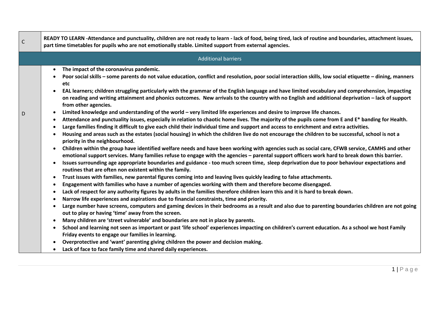| $\mathsf{C}$ | READY TO LEARN -Attendance and punctuality, children are not ready to learn - lack of food, being tired, lack of routine and boundaries, attachment issues,<br>part time timetables for pupils who are not emotionally stable. Limited support from external agencies.                                                                                                                                                                                                                                                                                                                                                                                                                                                                                                                                                                                                                                                                                                                                                                                                                                                                                                                                                                                                                                                                                                                                                                                                                                                                                                                                                                                                                                                                                                                                                                                                                                                                                                                                                                                                                                                                                                                                                                                                                                                                                                                                                                                                                                                                                                                                                                                                                                                                                                                                                                                                                                                                                                                |
|--------------|---------------------------------------------------------------------------------------------------------------------------------------------------------------------------------------------------------------------------------------------------------------------------------------------------------------------------------------------------------------------------------------------------------------------------------------------------------------------------------------------------------------------------------------------------------------------------------------------------------------------------------------------------------------------------------------------------------------------------------------------------------------------------------------------------------------------------------------------------------------------------------------------------------------------------------------------------------------------------------------------------------------------------------------------------------------------------------------------------------------------------------------------------------------------------------------------------------------------------------------------------------------------------------------------------------------------------------------------------------------------------------------------------------------------------------------------------------------------------------------------------------------------------------------------------------------------------------------------------------------------------------------------------------------------------------------------------------------------------------------------------------------------------------------------------------------------------------------------------------------------------------------------------------------------------------------------------------------------------------------------------------------------------------------------------------------------------------------------------------------------------------------------------------------------------------------------------------------------------------------------------------------------------------------------------------------------------------------------------------------------------------------------------------------------------------------------------------------------------------------------------------------------------------------------------------------------------------------------------------------------------------------------------------------------------------------------------------------------------------------------------------------------------------------------------------------------------------------------------------------------------------------------------------------------------------------------------------------------------------------|
|              | <b>Additional barriers</b>                                                                                                                                                                                                                                                                                                                                                                                                                                                                                                                                                                                                                                                                                                                                                                                                                                                                                                                                                                                                                                                                                                                                                                                                                                                                                                                                                                                                                                                                                                                                                                                                                                                                                                                                                                                                                                                                                                                                                                                                                                                                                                                                                                                                                                                                                                                                                                                                                                                                                                                                                                                                                                                                                                                                                                                                                                                                                                                                                            |
| D            | The impact of the coronavirus pandemic.<br>$\bullet$<br>Poor social skills - some parents do not value education, conflict and resolution, poor social interaction skills, low social etiquette - dining, manners<br>etc<br>EAL learners; children struggling particularly with the grammar of the English language and have limited vocabulary and comprehension, impacting<br>$\bullet$<br>on reading and writing attainment and phonics outcomes. New arrivals to the country with no English and additional deprivation - lack of support<br>from other agencies.<br>Limited knowledge and understanding of the world - very limited life experiences and desire to improve life chances.<br>$\bullet$<br>Attendance and punctuality issues, especially in relation to chaotic home lives. The majority of the pupils come from E and E* banding for Health.<br>$\bullet$<br>Large families finding it difficult to give each child their individual time and support and access to enrichment and extra activities.<br>Housing and areas such as the estates (social housing) in which the children live do not encourage the children to be successful, school is not a<br>priority in the neighbourhood.<br>Children within the group have identified welfare needs and have been working with agencies such as social care, CFWB service, CAMHS and other<br>$\bullet$<br>emotional support services. Many families refuse to engage with the agencies - parental support officers work hard to break down this barrier.<br>Issues surrounding age appropriate boundaries and guidance - too much screen time, sleep deprivation due to poor behaviour expectations and<br>$\bullet$<br>routines that are often non existent within the family.<br>Trust issues with families, new parental figures coming into and leaving lives quickly leading to false attachments.<br>$\bullet$<br>Engagement with families who have a number of agencies working with them and therefore become disengaged.<br>٠<br>Lack of respect for any authority figures by adults in the families therefore children learn this and it is hard to break down.<br>Narrow life experiences and aspirations due to financial constraints, time and priority.<br>٠<br>Large number have screens, computers and gaming devices in their bedrooms as a result and also due to parenting boundaries children are not going<br>$\bullet$<br>out to play or having 'time' away from the screen.<br>Many children are 'street vulnerable' and boundaries are not in place by parents.<br>$\bullet$<br>School and learning not seen as important or past 'life school' experiences impacting on children's current education. As a school we host Family<br>$\bullet$<br>Friday events to engage our families in learning.<br>Overprotective and 'want' parenting giving children the power and decision making.<br>$\bullet$<br>Lack of face to face family time and shared daily experiences.<br>$\bullet$ |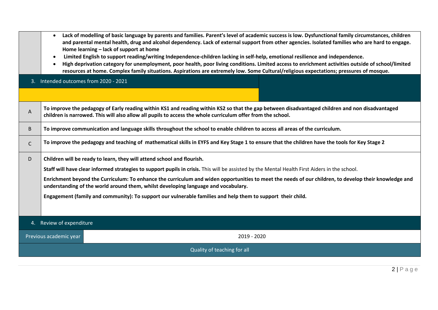- **Lack of modelling of basic language by parents and families. Parent's level of academic success is low. Dysfunctional family circumstances, children and parental mental health, drug and alcohol dependency. Lack of external support from other agencies. Isolated families who are hard to engage. Home learning – lack of support at home**
- **Limited English to support reading/writing Independence-children lacking in self-help, emotional resilience and independence.**
- **High deprivation category for unemployment, poor health, poor living conditions. Limited access to enrichment activities outside of school/limited resources at home. Complex family situations. Aspirations are extremely low. Some Cultural/religious expectations; pressures of mosque.**

3. Intended outcomes from 2020 - 2021

| A | To improve the pedagogy of Early reading within KS1 and reading within KS2 so that the gap between disadvantaged children and non disadvantaged<br>children is narrowed. This will also allow all pupils to access the whole curriculum offer from the school. |
|---|----------------------------------------------------------------------------------------------------------------------------------------------------------------------------------------------------------------------------------------------------------------|
| B | To improve communication and language skills throughout the school to enable children to access all areas of the curriculum.                                                                                                                                   |
| r | To improve the pedagogy and teaching of mathematical skills in EYFS and Key Stage 1 to ensure that the children have the tools for Key Stage 2                                                                                                                 |
| D | Children will be ready to learn, they will attend school and flourish.                                                                                                                                                                                         |

**Staff will have clear informed strategies to support pupils in crisis.** This will be assisted by the Mental Health First Aiders in the school.

**Enrichment beyond the Curriculum: To enhance the curriculum and widen opportunities to meet the needs of our children, to develop their knowledge and understanding of the world around them, whilst developing language and vocabulary.** 

**Engagement (family and community): To support our vulnerable families and help them to support their child.**

#### 4. Review of expenditure

Previous academic year 2019 - 2020

Quality of teaching for all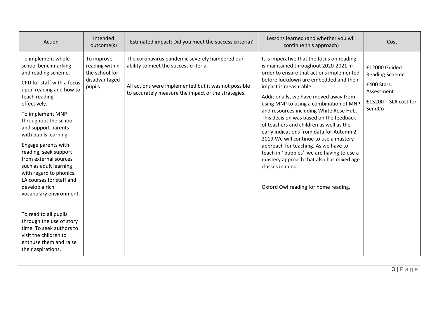| Action                                                                                                                                                                                                                                                                                                                                                                                                                                                         | Intended<br>outcome(s)                                                    | Estimated impact: Did you meet the success criteria?                                                                                                                                                   | Lessons learned (and whether you will<br>continue this approach)                                                                                                                                                                                                                                                                                                                                                                                                                                                                                                                                                                                                                                            | Cost                                                                                                  |
|----------------------------------------------------------------------------------------------------------------------------------------------------------------------------------------------------------------------------------------------------------------------------------------------------------------------------------------------------------------------------------------------------------------------------------------------------------------|---------------------------------------------------------------------------|--------------------------------------------------------------------------------------------------------------------------------------------------------------------------------------------------------|-------------------------------------------------------------------------------------------------------------------------------------------------------------------------------------------------------------------------------------------------------------------------------------------------------------------------------------------------------------------------------------------------------------------------------------------------------------------------------------------------------------------------------------------------------------------------------------------------------------------------------------------------------------------------------------------------------------|-------------------------------------------------------------------------------------------------------|
| To implement whole<br>school benchmarking<br>and reading scheme.<br>CPD for staff with a focus<br>upon reading and how to<br>teach reading<br>effectively.<br>To implement MNP<br>throughout the school<br>and support parents<br>with pupils learning.<br>Engage parents with<br>reading, seek support<br>from external sources<br>such as adult learning<br>with regard to phonics.<br>LA courses for staff and<br>develop a rich<br>vocabulary environment. | To improve<br>reading within<br>the school for<br>disadvantaged<br>pupils | The coronavirus pandemic severely hampered our<br>ability to meet the success criteria.<br>All actions were implemented but it was not possible<br>to accurately measure the impact of the strategies. | It is imperative that the focus on reading<br>is maintained throughout 2020-2021 in<br>order to ensure that actions implemented<br>before lockdown are embedded and their<br>impact is measurable.<br>Additionally, we have moved away from<br>using MNP to using a combination of MNP<br>and resources including White Rose Hub.<br>This decision was based on the feedback<br>of teachers and children as well as the<br>early indications from data for Autumn 2<br>2019. We will continue to use a mastery<br>approach for teaching. As we have to<br>teach in 'bubbles' we are having to use a<br>mastery approach that also has mixed age<br>classes in mind.<br>Oxford Owl reading for home reading. | £12000 Guided<br><b>Reading Scheme</b><br>£400 Stars<br>Assessment<br>£15200 - SLA cost for<br>SendCo |
| To read to all pupils<br>through the use of story<br>time. To seek authors to<br>visit the children to<br>enthuse them and raise<br>their aspirations.                                                                                                                                                                                                                                                                                                         |                                                                           |                                                                                                                                                                                                        |                                                                                                                                                                                                                                                                                                                                                                                                                                                                                                                                                                                                                                                                                                             |                                                                                                       |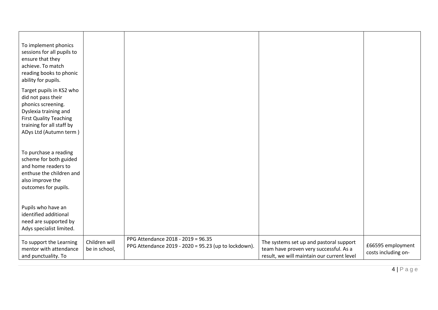| To implement phonics<br>sessions for all pupils to<br>ensure that they<br>achieve. To match<br>reading books to phonic<br>ability for pupils.                                         |                                |                                                                                            |                                                                                                                                 |                                          |
|---------------------------------------------------------------------------------------------------------------------------------------------------------------------------------------|--------------------------------|--------------------------------------------------------------------------------------------|---------------------------------------------------------------------------------------------------------------------------------|------------------------------------------|
| Target pupils in KS2 who<br>did not pass their<br>phonics screening.<br>Dyslexia training and<br><b>First Quality Teaching</b><br>training for all staff by<br>ADys Ltd (Autumn term) |                                |                                                                                            |                                                                                                                                 |                                          |
| To purchase a reading<br>scheme for both guided<br>and home readers to<br>enthuse the children and<br>also improve the<br>outcomes for pupils.                                        |                                |                                                                                            |                                                                                                                                 |                                          |
| Pupils who have an<br>identified additional<br>need are supported by<br>Adys specialist limited.                                                                                      |                                |                                                                                            |                                                                                                                                 |                                          |
| To support the Learning<br>mentor with attendance<br>and punctuality. To                                                                                                              | Children will<br>be in school, | PPG Attendance 2018 - 2019 = 96.35<br>PPG Attendance 2019 - 2020 = 95.23 (up to lockdown). | The systems set up and pastoral support<br>team have proven very successful. As a<br>result, we will maintain our current level | £66595 employment<br>costs including on- |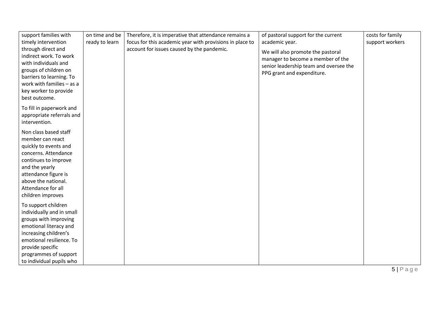| support families with                           | on time and be | Therefore, it is imperative that attendance remains a    | of pastoral support for the current    | costs for family |
|-------------------------------------------------|----------------|----------------------------------------------------------|----------------------------------------|------------------|
| timely intervention                             | ready to learn | focus for this academic year with provisions in place to | academic year.                         | support workers  |
| through direct and                              |                | account for issues caused by the pandemic.               | We will also promote the pastoral      |                  |
| indirect work. To work                          |                |                                                          | manager to become a member of the      |                  |
| with individuals and                            |                |                                                          | senior leadership team and oversee the |                  |
| groups of children on                           |                |                                                          | PPG grant and expenditure.             |                  |
| barriers to learning. To                        |                |                                                          |                                        |                  |
| work with families - as a                       |                |                                                          |                                        |                  |
| key worker to provide                           |                |                                                          |                                        |                  |
| best outcome.                                   |                |                                                          |                                        |                  |
| To fill in paperwork and                        |                |                                                          |                                        |                  |
| appropriate referrals and                       |                |                                                          |                                        |                  |
| intervention.                                   |                |                                                          |                                        |                  |
| Non class based staff                           |                |                                                          |                                        |                  |
| member can react                                |                |                                                          |                                        |                  |
| quickly to events and                           |                |                                                          |                                        |                  |
| concerns. Attendance                            |                |                                                          |                                        |                  |
| continues to improve                            |                |                                                          |                                        |                  |
| and the yearly                                  |                |                                                          |                                        |                  |
| attendance figure is                            |                |                                                          |                                        |                  |
| above the national.                             |                |                                                          |                                        |                  |
| Attendance for all                              |                |                                                          |                                        |                  |
| children improves                               |                |                                                          |                                        |                  |
|                                                 |                |                                                          |                                        |                  |
| To support children                             |                |                                                          |                                        |                  |
| individually and in small                       |                |                                                          |                                        |                  |
| groups with improving                           |                |                                                          |                                        |                  |
| emotional literacy and<br>increasing children's |                |                                                          |                                        |                  |
| emotional resilience. To                        |                |                                                          |                                        |                  |
| provide specific                                |                |                                                          |                                        |                  |
| programmes of support                           |                |                                                          |                                        |                  |
| to individual pupils who                        |                |                                                          |                                        |                  |
|                                                 |                |                                                          |                                        |                  |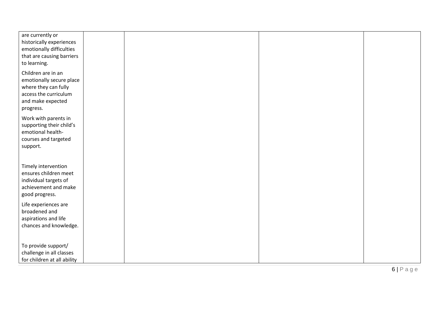| are currently or<br>historically experiences<br>emotionally difficulties<br>that are causing barriers                             |  |  |
|-----------------------------------------------------------------------------------------------------------------------------------|--|--|
| to learning.                                                                                                                      |  |  |
| Children are in an<br>emotionally secure place<br>where they can fully<br>access the curriculum<br>and make expected<br>progress. |  |  |
| Work with parents in<br>supporting their child's<br>emotional health-<br>courses and targeted<br>support.                         |  |  |
| Timely intervention<br>ensures children meet<br>individual targets of<br>achievement and make<br>good progress.                   |  |  |
| Life experiences are<br>broadened and<br>aspirations and life<br>chances and knowledge.                                           |  |  |
| To provide support/<br>challenge in all classes<br>for children at all ability                                                    |  |  |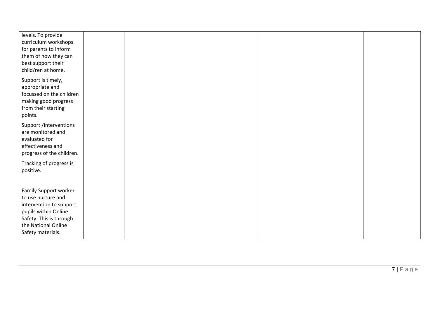| levels. To provide                          |  |  |
|---------------------------------------------|--|--|
| curriculum workshops                        |  |  |
| for parents to inform                       |  |  |
| them of how they can                        |  |  |
| best support their                          |  |  |
| child/ren at home.                          |  |  |
| Support is timely,                          |  |  |
| appropriate and                             |  |  |
| focussed on the children                    |  |  |
| making good progress                        |  |  |
| from their starting                         |  |  |
| points.                                     |  |  |
| Support /interventions                      |  |  |
| are monitored and                           |  |  |
| evaluated for                               |  |  |
| effectiveness and                           |  |  |
| progress of the children.                   |  |  |
|                                             |  |  |
| Tracking of progress is                     |  |  |
| positive.                                   |  |  |
|                                             |  |  |
|                                             |  |  |
| Family Support worker<br>to use nurture and |  |  |
|                                             |  |  |
| intervention to support                     |  |  |
| pupils within Online                        |  |  |
| Safety. This is through                     |  |  |
| the National Online                         |  |  |
| Safety materials.                           |  |  |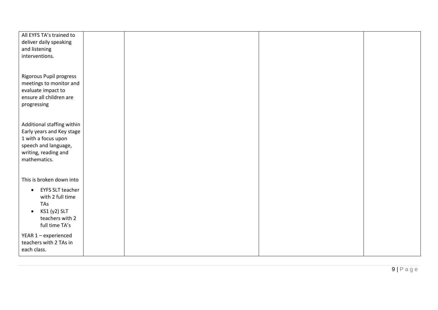| All EYFS TA's trained to             |  |  |
|--------------------------------------|--|--|
| deliver daily speaking               |  |  |
| and listening                        |  |  |
| interventions.                       |  |  |
|                                      |  |  |
|                                      |  |  |
|                                      |  |  |
| Rigorous Pupil progress              |  |  |
| meetings to monitor and              |  |  |
| evaluate impact to                   |  |  |
| ensure all children are              |  |  |
| progressing                          |  |  |
|                                      |  |  |
|                                      |  |  |
| Additional staffing within           |  |  |
| Early years and Key stage            |  |  |
| 1 with a focus upon                  |  |  |
| speech and language,                 |  |  |
| writing, reading and                 |  |  |
| mathematics.                         |  |  |
|                                      |  |  |
|                                      |  |  |
| This is broken down into             |  |  |
|                                      |  |  |
| <b>EYFS SLT teacher</b><br>$\bullet$ |  |  |
| with 2 full time                     |  |  |
| TAs                                  |  |  |
| KS1 (y2) SLT<br>$\bullet$            |  |  |
| teachers with 2                      |  |  |
| full time TA's                       |  |  |
|                                      |  |  |
| YEAR 1 - experienced                 |  |  |
| teachers with 2 TAs in               |  |  |
| each class.                          |  |  |
|                                      |  |  |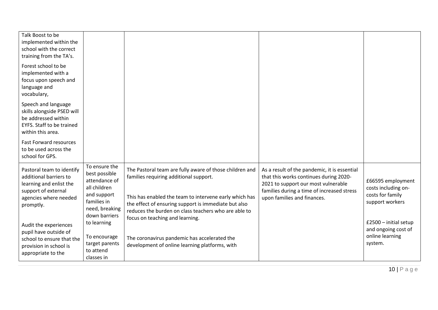| Talk Boost to be<br>implemented within the<br>school with the correct<br>training from the TA's.                                            |                                                                                                                                  |                                                                                                                                                                                                                                                                                                                |                                                                                                                                                                                                            |                                                                                 |
|---------------------------------------------------------------------------------------------------------------------------------------------|----------------------------------------------------------------------------------------------------------------------------------|----------------------------------------------------------------------------------------------------------------------------------------------------------------------------------------------------------------------------------------------------------------------------------------------------------------|------------------------------------------------------------------------------------------------------------------------------------------------------------------------------------------------------------|---------------------------------------------------------------------------------|
| Forest school to be<br>implemented with a<br>focus upon speech and<br>language and<br>vocabulary,                                           |                                                                                                                                  |                                                                                                                                                                                                                                                                                                                |                                                                                                                                                                                                            |                                                                                 |
| Speech and language<br>skills alongside PSED will<br>be addressed within<br>EYFS. Staff to be trained<br>within this area.                  |                                                                                                                                  |                                                                                                                                                                                                                                                                                                                |                                                                                                                                                                                                            |                                                                                 |
| <b>Fast Forward resources</b><br>to be used across the<br>school for GPS.                                                                   |                                                                                                                                  |                                                                                                                                                                                                                                                                                                                |                                                                                                                                                                                                            |                                                                                 |
| Pastoral team to identify<br>additional barriers to<br>learning and enlist the<br>support of external<br>agencies where needed<br>promptly. | To ensure the<br>best possible<br>attendance of<br>all children<br>and support<br>families in<br>need, breaking<br>down barriers | The Pastoral team are fully aware of those children and<br>families requiring additional support.<br>This has enabled the team to intervene early which has<br>the effect of ensuring support is immediate but also<br>reduces the burden on class teachers who are able to<br>focus on teaching and learning. | As a result of the pandemic, it is essential<br>that this works continues during 2020-<br>2021 to support our most vulnerable<br>families during a time of increased stress<br>upon families and finances. | £66595 employment<br>costs including on-<br>costs for family<br>support workers |
| Audit the experiences<br>pupil have outside of<br>school to ensure that the<br>provision in school is<br>appropriate to the                 | to learning<br>To encourage<br>target parents<br>to attend<br>classes in                                                         | The coronavirus pandemic has accelerated the<br>development of online learning platforms, with                                                                                                                                                                                                                 |                                                                                                                                                                                                            | $£2500 - initial setup$<br>and ongoing cost of<br>online learning<br>system.    |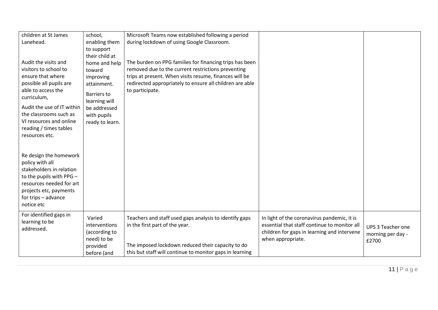| children at St James<br>Lanehead.                                                                                                                                                            | school,<br>enabling them                                                                                              | Microsoft Teams now established following a period<br>during lockdown of using Google Classroom.                                                                                                                                                       |                                                                                                                                                                 |                                                 |
|----------------------------------------------------------------------------------------------------------------------------------------------------------------------------------------------|-----------------------------------------------------------------------------------------------------------------------|--------------------------------------------------------------------------------------------------------------------------------------------------------------------------------------------------------------------------------------------------------|-----------------------------------------------------------------------------------------------------------------------------------------------------------------|-------------------------------------------------|
|                                                                                                                                                                                              | to support                                                                                                            |                                                                                                                                                                                                                                                        |                                                                                                                                                                 |                                                 |
| Audit the visits and<br>visitors to school to<br>ensure that where<br>possible all pupils are<br>able to access the<br>curriculum,<br>Audit the use of IT within                             | their child at<br>home and help<br>toward<br>improving<br>attainment.<br>Barriers to<br>learning will<br>be addressed | The burden on PPG families for financing trips has been<br>removed due to the current restrictions preventing<br>trips at present. When visits resume, finances will be<br>redirected appropriately to ensure all children are able<br>to participate. |                                                                                                                                                                 |                                                 |
| the classrooms such as<br>VI resources and online<br>reading / times tables<br>resources etc.                                                                                                | with pupils<br>ready to learn.                                                                                        |                                                                                                                                                                                                                                                        |                                                                                                                                                                 |                                                 |
| Re design the homework<br>policy with all<br>stakeholders in relation<br>to the pupils with PPG -<br>resources needed for art<br>projects etc, payments<br>for trips - advance<br>notice etc |                                                                                                                       |                                                                                                                                                                                                                                                        |                                                                                                                                                                 |                                                 |
| For identified gaps in<br>learning to be<br>addressed.                                                                                                                                       | Varied<br>interventions<br>(according to<br>need) to be<br>provided<br>before (and                                    | Teachers and staff used gaps analysis to identify gaps<br>in the first part of the year.<br>The imposed lockdown reduced their capacity to do<br>this but staff will continue to monitor gaps in learning                                              | In light of the coronavirus pandemic, it is<br>essential that staff continue to monitor all<br>children for gaps in learning and intervene<br>when appropriate. | UPS 3 Teacher one<br>morning per day -<br>£2700 |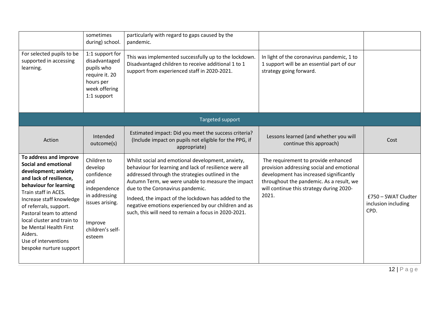|                                                                                                                                                                                                                                                                                                                                                                   | sometimes<br>during) school.                                                                                                             | particularly with regard to gaps caused by the<br>pandemic.                                                                                                                                                                                                                                                                                                                                                                     |                                                                                                                                                                                                                              |                                                    |
|-------------------------------------------------------------------------------------------------------------------------------------------------------------------------------------------------------------------------------------------------------------------------------------------------------------------------------------------------------------------|------------------------------------------------------------------------------------------------------------------------------------------|---------------------------------------------------------------------------------------------------------------------------------------------------------------------------------------------------------------------------------------------------------------------------------------------------------------------------------------------------------------------------------------------------------------------------------|------------------------------------------------------------------------------------------------------------------------------------------------------------------------------------------------------------------------------|----------------------------------------------------|
| For selected pupils to be<br>supported in accessing<br>learning.                                                                                                                                                                                                                                                                                                  | 1:1 support for<br>disadvantaged<br>pupils who<br>require it. 20<br>hours per<br>week offering<br>1:1 support                            | This was implemented successfully up to the lockdown.<br>Disadvantaged children to receive additional 1 to 1<br>support from experienced staff in 2020-2021.                                                                                                                                                                                                                                                                    | In light of the coronavirus pandemic, 1 to<br>1 support will be an essential part of our<br>strategy going forward.                                                                                                          |                                                    |
|                                                                                                                                                                                                                                                                                                                                                                   |                                                                                                                                          | Targeted support                                                                                                                                                                                                                                                                                                                                                                                                                |                                                                                                                                                                                                                              |                                                    |
| Action                                                                                                                                                                                                                                                                                                                                                            | Intended<br>outcome(s)                                                                                                                   | Estimated impact: Did you meet the success criteria?<br>(Include impact on pupils not eligible for the PPG, if<br>appropriate)                                                                                                                                                                                                                                                                                                  | Lessons learned (and whether you will<br>continue this approach)                                                                                                                                                             | Cost                                               |
| To address and improve<br><b>Social and emotional</b><br>development; anxiety<br>and lack of resilience,<br>behaviour for learning<br>Train staff in ACES.<br>Increase staff knowledge<br>of referrals, support.<br>Pastoral team to attend<br>local cluster and train to<br>be Mental Health First<br>Aiders.<br>Use of interventions<br>bespoke nurture support | Children to<br>develop<br>confidence<br>and<br>independence<br>in addressing<br>issues arising.<br>Improve<br>children's self-<br>esteem | Whilst social and emotional development, anxiety,<br>behaviour for learning and lack of resilience were all<br>addressed through the strategies outlined in the<br>Autumn Term, we were unable to measure the impact<br>due to the Coronavirus pandemic.<br>Indeed, the impact of the lockdown has added to the<br>negative emotions experienced by our children and as<br>such, this will need to remain a focus in 2020-2021. | The requirement to provide enhanced<br>provision addressing social and emotional<br>development has increased significantly<br>throughout the pandemic. As a result, we<br>will continue this strategy during 2020-<br>2021. | £750 - SWAT Cludter<br>inclusion including<br>CPD. |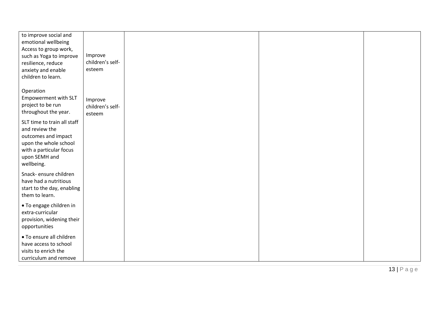| to improve social and       |                  |  |  |
|-----------------------------|------------------|--|--|
| emotional wellbeing         |                  |  |  |
| Access to group work,       |                  |  |  |
| such as Yoga to improve     | Improve          |  |  |
| resilience, reduce          | children's self- |  |  |
| anxiety and enable          | esteem           |  |  |
| children to learn.          |                  |  |  |
|                             |                  |  |  |
| Operation                   |                  |  |  |
| Empowerment with SLT        | Improve          |  |  |
| project to be run           | children's self- |  |  |
| throughout the year.        | esteem           |  |  |
|                             |                  |  |  |
| SLT time to train all staff |                  |  |  |
| and review the              |                  |  |  |
| outcomes and impact         |                  |  |  |
| upon the whole school       |                  |  |  |
| with a particular focus     |                  |  |  |
| upon SEMH and               |                  |  |  |
| wellbeing.                  |                  |  |  |
| Snack- ensure children      |                  |  |  |
| have had a nutritious       |                  |  |  |
| start to the day, enabling  |                  |  |  |
| them to learn.              |                  |  |  |
|                             |                  |  |  |
| • To engage children in     |                  |  |  |
| extra-curricular            |                  |  |  |
| provision, widening their   |                  |  |  |
| opportunities               |                  |  |  |
| • To ensure all children    |                  |  |  |
| have access to school       |                  |  |  |
| visits to enrich the        |                  |  |  |
| curriculum and remove       |                  |  |  |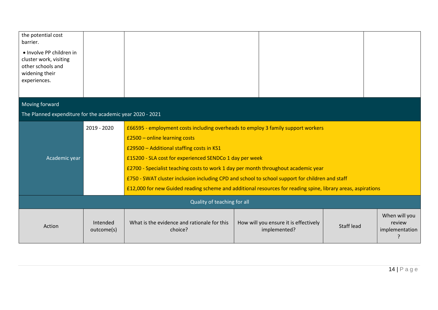| the potential cost<br>barrier.<br>• Involve PP children in<br>cluster work, visiting<br>other schools and<br>widening their<br>experiences. |                        |                                                                                                                                                                                                                                                                                                                                                                                                                                                                                                                                    |                                                       |            |                                                |
|---------------------------------------------------------------------------------------------------------------------------------------------|------------------------|------------------------------------------------------------------------------------------------------------------------------------------------------------------------------------------------------------------------------------------------------------------------------------------------------------------------------------------------------------------------------------------------------------------------------------------------------------------------------------------------------------------------------------|-------------------------------------------------------|------------|------------------------------------------------|
| Moving forward                                                                                                                              |                        |                                                                                                                                                                                                                                                                                                                                                                                                                                                                                                                                    |                                                       |            |                                                |
| The Planned expenditure for the academic year 2020 - 2021                                                                                   |                        |                                                                                                                                                                                                                                                                                                                                                                                                                                                                                                                                    |                                                       |            |                                                |
| Academic year                                                                                                                               | 2019 - 2020            | £66595 - employment costs including overheads to employ 3 family support workers<br>£2500 - online learning costs<br>£29500 - Additional staffing costs in KS1<br>£15200 - SLA cost for experienced SENDCo 1 day per week<br>£2700 - Specialist teaching costs to work 1 day per month throughout academic year<br>£750 - SWAT cluster inclusion including CPD and school to school support for children and staff<br>£12,000 for new Guided reading scheme and additional resources for reading spine, library areas, aspirations |                                                       |            |                                                |
| Quality of teaching for all                                                                                                                 |                        |                                                                                                                                                                                                                                                                                                                                                                                                                                                                                                                                    |                                                       |            |                                                |
| Action                                                                                                                                      | Intended<br>outcome(s) | What is the evidence and rationale for this<br>choice?                                                                                                                                                                                                                                                                                                                                                                                                                                                                             | How will you ensure it is effectively<br>implemented? | Staff lead | When will you<br>review<br>implementation<br>Ģ |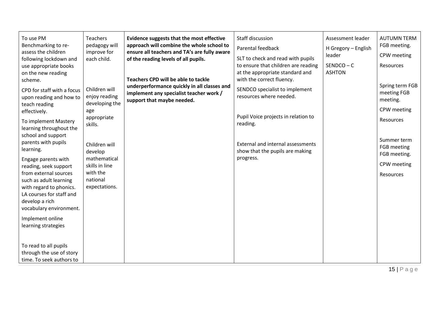| To use PM<br>Benchmarking to re-<br>assess the children<br>following lockdown and<br>use appropriate books<br>on the new reading<br>scheme.<br>CPD for staff with a focus<br>upon reading and how to<br>teach reading<br>effectively.<br>To implement Mastery<br>learning throughout the<br>school and support<br>parents with pupils<br>learning.<br>Engage parents with<br>reading, seek support<br>from external sources<br>such as adult learning<br>with regard to phonics.<br>LA courses for staff and<br>develop a rich<br>vocabulary environment.<br>Implement online<br>learning strategies | <b>Teachers</b><br>pedagogy will<br>improve for<br>each child.<br>Children will<br>enjoy reading<br>developing the<br>age<br>appropriate<br>skills.<br>Children will<br>develop<br>mathematical<br>skills in line<br>with the<br>national<br>expectations. | Evidence suggests that the most effective<br>approach will combine the whole school to<br>ensure all teachers and TA's are fully aware<br>of the reading levels of all pupils.<br>Teachers CPD will be able to tackle<br>underperformance quickly in all classes and<br>implement any specialist teacher work /<br>support that maybe needed. | Staff discussion<br>Parental feedback<br>SLT to check and read with pupils<br>to ensure that children are reading<br>at the appropriate standard and<br>with the correct fluency.<br>SENDCO specialist to implement<br>resources where needed.<br>Pupil Voice projects in relation to<br>reading.<br>External and internal assessments<br>show that the pupils are making<br>progress. | Assessment leader<br>H Gregory - English<br>leader<br>$SENDCO - C$<br><b>ASHTON</b> | <b>AUTUMN TERM</b><br>FGB meeting.<br>CPW meeting<br><b>Resources</b><br>Spring term FGB<br>meeting FGB<br>meeting.<br>CPW meeting<br><b>Resources</b><br>Summer term<br>FGB meeting<br>FGB meeting.<br>CPW meeting<br>Resources |
|------------------------------------------------------------------------------------------------------------------------------------------------------------------------------------------------------------------------------------------------------------------------------------------------------------------------------------------------------------------------------------------------------------------------------------------------------------------------------------------------------------------------------------------------------------------------------------------------------|------------------------------------------------------------------------------------------------------------------------------------------------------------------------------------------------------------------------------------------------------------|-----------------------------------------------------------------------------------------------------------------------------------------------------------------------------------------------------------------------------------------------------------------------------------------------------------------------------------------------|----------------------------------------------------------------------------------------------------------------------------------------------------------------------------------------------------------------------------------------------------------------------------------------------------------------------------------------------------------------------------------------|-------------------------------------------------------------------------------------|----------------------------------------------------------------------------------------------------------------------------------------------------------------------------------------------------------------------------------|
| To read to all pupils<br>through the use of story<br>time. To seek authors to                                                                                                                                                                                                                                                                                                                                                                                                                                                                                                                        |                                                                                                                                                                                                                                                            |                                                                                                                                                                                                                                                                                                                                               |                                                                                                                                                                                                                                                                                                                                                                                        |                                                                                     |                                                                                                                                                                                                                                  |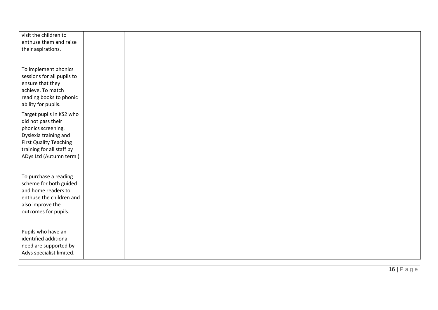| visit the children to<br>enthuse them and raise<br>their aspirations.                                                                                                                 |  |  |  |
|---------------------------------------------------------------------------------------------------------------------------------------------------------------------------------------|--|--|--|
| To implement phonics<br>sessions for all pupils to<br>ensure that they<br>achieve. To match<br>reading books to phonic<br>ability for pupils.                                         |  |  |  |
| Target pupils in KS2 who<br>did not pass their<br>phonics screening.<br>Dyslexia training and<br><b>First Quality Teaching</b><br>training for all staff by<br>ADys Ltd (Autumn term) |  |  |  |
| To purchase a reading<br>scheme for both guided<br>and home readers to<br>enthuse the children and<br>also improve the<br>outcomes for pupils.                                        |  |  |  |
| Pupils who have an<br>identified additional<br>need are supported by<br>Adys specialist limited.                                                                                      |  |  |  |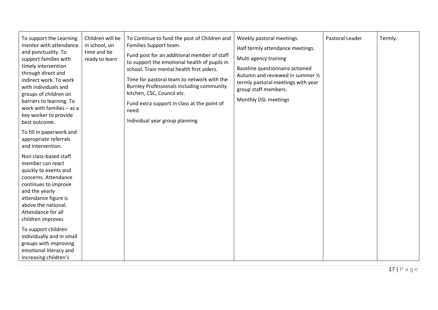| To support the Learning<br>mentor with attendance<br>and punctuality. To<br>support families with<br>timely intervention<br>through direct and<br>indirect work. To work<br>with individuals and<br>groups of children on<br>barriers to learning. To<br>work with families - as a<br>key worker to provide<br>best outcome. | Children will be<br>in school, on<br>time and be<br>ready to learn | To Continue to fund the post of Children and<br>Families Support team.<br>Fund post for an additional member of staff<br>to support the emotional health of pupils in<br>school. Train mental health first aiders.<br>Time for pastoral team to network with the<br><b>Burnley Professionals including community</b><br>kitchen, CSC, Council etc.<br>Fund extra support in class at the point of<br>need.<br>Individual year group planning | Weekly pastoral meetings.<br>Half termly attendance meetings.<br>Multi agency training<br>Baseline questionnaire actioned<br>Autumn and reviewed in summer 1/2<br>termly pastoral meetings with year<br>group staff members.<br>Monthly DSL meetings | Pastoral Leader | Termly. |
|------------------------------------------------------------------------------------------------------------------------------------------------------------------------------------------------------------------------------------------------------------------------------------------------------------------------------|--------------------------------------------------------------------|----------------------------------------------------------------------------------------------------------------------------------------------------------------------------------------------------------------------------------------------------------------------------------------------------------------------------------------------------------------------------------------------------------------------------------------------|------------------------------------------------------------------------------------------------------------------------------------------------------------------------------------------------------------------------------------------------------|-----------------|---------|
| To fill in paperwork and<br>appropriate referrals<br>and intervention.                                                                                                                                                                                                                                                       |                                                                    |                                                                                                                                                                                                                                                                                                                                                                                                                                              |                                                                                                                                                                                                                                                      |                 |         |
| Non class-based staff<br>member can react<br>quickly to events and<br>concerns. Attendance<br>continues to improve<br>and the yearly<br>attendance figure is<br>above the national.<br>Attendance for all<br>children improves                                                                                               |                                                                    |                                                                                                                                                                                                                                                                                                                                                                                                                                              |                                                                                                                                                                                                                                                      |                 |         |
| To support children<br>individually and in small<br>groups with improving<br>emotional literacy and<br>increasing children's                                                                                                                                                                                                 |                                                                    |                                                                                                                                                                                                                                                                                                                                                                                                                                              |                                                                                                                                                                                                                                                      |                 |         |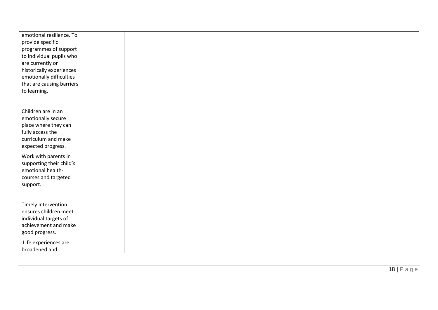| emotional resilience. To  |  |  |  |
|---------------------------|--|--|--|
| provide specific          |  |  |  |
|                           |  |  |  |
| programmes of support     |  |  |  |
| to individual pupils who  |  |  |  |
| are currently or          |  |  |  |
| historically experiences  |  |  |  |
| emotionally difficulties  |  |  |  |
| that are causing barriers |  |  |  |
| to learning.              |  |  |  |
|                           |  |  |  |
|                           |  |  |  |
| Children are in an        |  |  |  |
| emotionally secure        |  |  |  |
| place where they can      |  |  |  |
| fully access the          |  |  |  |
| curriculum and make       |  |  |  |
|                           |  |  |  |
| expected progress.        |  |  |  |
| Work with parents in      |  |  |  |
| supporting their child's  |  |  |  |
| emotional health-         |  |  |  |
| courses and targeted      |  |  |  |
| support.                  |  |  |  |
|                           |  |  |  |
|                           |  |  |  |
| Timely intervention       |  |  |  |
| ensures children meet     |  |  |  |
| individual targets of     |  |  |  |
| achievement and make      |  |  |  |
|                           |  |  |  |
| good progress.            |  |  |  |
| Life experiences are      |  |  |  |
| broadened and             |  |  |  |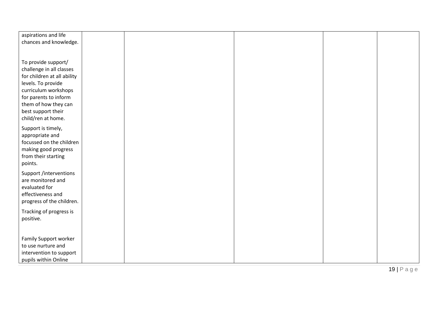| aspirations and life        |  |  |  |
|-----------------------------|--|--|--|
| chances and knowledge.      |  |  |  |
|                             |  |  |  |
|                             |  |  |  |
| To provide support/         |  |  |  |
|                             |  |  |  |
| challenge in all classes    |  |  |  |
| for children at all ability |  |  |  |
| levels. To provide          |  |  |  |
| curriculum workshops        |  |  |  |
| for parents to inform       |  |  |  |
| them of how they can        |  |  |  |
| best support their          |  |  |  |
| child/ren at home.          |  |  |  |
|                             |  |  |  |
| Support is timely,          |  |  |  |
| appropriate and             |  |  |  |
| focussed on the children    |  |  |  |
|                             |  |  |  |
| making good progress        |  |  |  |
| from their starting         |  |  |  |
| points.                     |  |  |  |
| Support /interventions      |  |  |  |
| are monitored and           |  |  |  |
|                             |  |  |  |
| evaluated for               |  |  |  |
| effectiveness and           |  |  |  |
| progress of the children.   |  |  |  |
| Tracking of progress is     |  |  |  |
|                             |  |  |  |
| positive.                   |  |  |  |
|                             |  |  |  |
|                             |  |  |  |
| Family Support worker       |  |  |  |
| to use nurture and          |  |  |  |
| intervention to support     |  |  |  |
| pupils within Online        |  |  |  |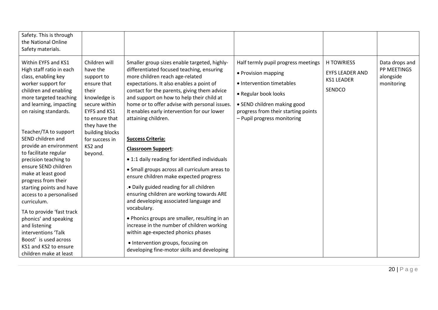| Safety. This is through<br>the National Online<br>Safety materials.                                                                                                                                                                                                                                                                                                                                                                                                                                                                                                                              |                                                                                                                                                                                                                |                                                                                                                                                                                                                                                                                                                                                                                                                                                                                                                                                                                                                                                                                                                                                                                                                                                                                                                               |                                                                                                                                                                                                                      |                                                                            |                                                          |
|--------------------------------------------------------------------------------------------------------------------------------------------------------------------------------------------------------------------------------------------------------------------------------------------------------------------------------------------------------------------------------------------------------------------------------------------------------------------------------------------------------------------------------------------------------------------------------------------------|----------------------------------------------------------------------------------------------------------------------------------------------------------------------------------------------------------------|-------------------------------------------------------------------------------------------------------------------------------------------------------------------------------------------------------------------------------------------------------------------------------------------------------------------------------------------------------------------------------------------------------------------------------------------------------------------------------------------------------------------------------------------------------------------------------------------------------------------------------------------------------------------------------------------------------------------------------------------------------------------------------------------------------------------------------------------------------------------------------------------------------------------------------|----------------------------------------------------------------------------------------------------------------------------------------------------------------------------------------------------------------------|----------------------------------------------------------------------------|----------------------------------------------------------|
| Within EYFS and KS1<br>High staff ratio in each<br>class, enabling key<br>worker support for<br>children and enabling<br>more targeted teaching<br>and learning, impacting<br>on raising standards.<br>Teacher/TA to support<br>SEND children and<br>provide an environment<br>to facilitate regular<br>precision teaching to<br>ensure SEND children<br>make at least good<br>progress from their<br>starting points and have<br>access to a personalised<br>curriculum.<br>TA to provide 'fast track<br>phonics' and speaking<br>and listening<br>interventions 'Talk<br>Boost' is used across | Children will<br>have the<br>support to<br>ensure that<br>their<br>knowledge is<br>secure within<br>EYFS and KS1<br>to ensure that<br>they have the<br>building blocks<br>for success in<br>KS2 and<br>beyond. | Smaller group sizes enable targeted, highly-<br>differentiated focused teaching, ensuring<br>more children reach age-related<br>expectations. It also enables a point of<br>contact for the parents, giving them advice<br>and support on how to help their child at<br>home or to offer advise with personal issues.<br>It enables early intervention for our lower<br>attaining children.<br><b>Success Criteria:</b><br><b>Classroom Support:</b><br>• 1:1 daily reading for identified individuals<br>• Small groups across all curriculum areas to<br>ensure children make expected progress<br>. Daily guided reading for all children<br>ensuring children are working towards ARE<br>and developing associated language and<br>vocabulary.<br>• Phonics groups are smaller, resulting in an<br>increase in the number of children working<br>within age-expected phonics phases<br>• Intervention groups, focusing on | Half termly pupil progress meetings<br>• Provision mapping<br>• Intervention timetables<br>• Regular book looks<br>• SEND children making good<br>progress from their starting points<br>- Pupil progress monitoring | <b>H TOWRIESS</b><br><b>EYFS LEADER AND</b><br><b>KS1 LEADER</b><br>SENDCO | Data drops and<br>PP MEETINGS<br>alongside<br>monitoring |
| KS1 and KS2 to ensure<br>children make at least                                                                                                                                                                                                                                                                                                                                                                                                                                                                                                                                                  |                                                                                                                                                                                                                | developing fine-motor skills and developing                                                                                                                                                                                                                                                                                                                                                                                                                                                                                                                                                                                                                                                                                                                                                                                                                                                                                   |                                                                                                                                                                                                                      |                                                                            |                                                          |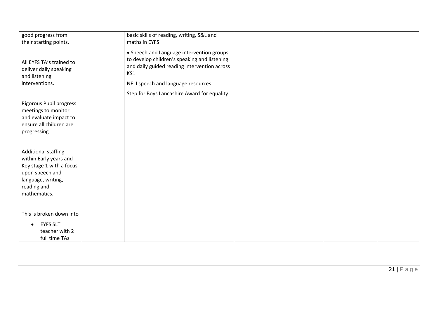| good progress from<br>their starting points.                                                                                                      | basic skills of reading, writing, S&L and<br>maths in EYFS                                                                                       |  |
|---------------------------------------------------------------------------------------------------------------------------------------------------|--------------------------------------------------------------------------------------------------------------------------------------------------|--|
| All EYFS TA's trained to<br>deliver daily speaking<br>and listening                                                                               | • Speech and Language intervention groups<br>to develop children's speaking and listening<br>and daily guided reading intervention across<br>KS1 |  |
| interventions.                                                                                                                                    | NELI speech and language resources.                                                                                                              |  |
|                                                                                                                                                   | Step for Boys Lancashire Award for equality                                                                                                      |  |
| Rigorous Pupil progress<br>meetings to monitor<br>and evaluate impact to<br>ensure all children are<br>progressing                                |                                                                                                                                                  |  |
| Additional staffing<br>within Early years and<br>Key stage 1 with a focus<br>upon speech and<br>language, writing,<br>reading and<br>mathematics. |                                                                                                                                                  |  |
| This is broken down into<br><b>EYFS SLT</b><br>teacher with 2<br>full time TAs                                                                    |                                                                                                                                                  |  |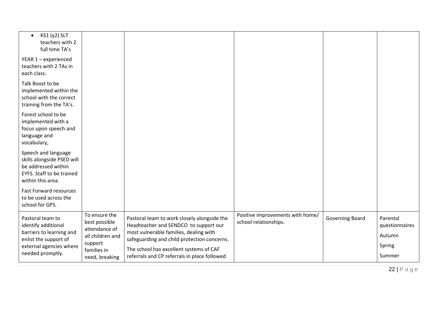| KS1 (y2) SLT<br>$\bullet$<br>teachers with 2<br>full time TA's                                                                              |                                                                                                                 |                                                                                                                                                                                                                                                                          |                                                           |                        |                                                          |
|---------------------------------------------------------------------------------------------------------------------------------------------|-----------------------------------------------------------------------------------------------------------------|--------------------------------------------------------------------------------------------------------------------------------------------------------------------------------------------------------------------------------------------------------------------------|-----------------------------------------------------------|------------------------|----------------------------------------------------------|
| YEAR 1 - experienced<br>teachers with 2 TAs in<br>each class.                                                                               |                                                                                                                 |                                                                                                                                                                                                                                                                          |                                                           |                        |                                                          |
| Talk Boost to be<br>implemented within the<br>school with the correct<br>training from the TA's.                                            |                                                                                                                 |                                                                                                                                                                                                                                                                          |                                                           |                        |                                                          |
| Forest school to be<br>implemented with a<br>focus upon speech and<br>language and<br>vocabulary,                                           |                                                                                                                 |                                                                                                                                                                                                                                                                          |                                                           |                        |                                                          |
| Speech and language<br>skills alongside PSED will<br>be addressed within<br><b>EYFS. Staff to be trained</b><br>within this area.           |                                                                                                                 |                                                                                                                                                                                                                                                                          |                                                           |                        |                                                          |
| <b>Fast Forward resources</b><br>to be used across the<br>school for GPS.                                                                   |                                                                                                                 |                                                                                                                                                                                                                                                                          |                                                           |                        |                                                          |
| Pastoral team to<br>identify additional<br>barriers to learning and<br>enlist the support of<br>external agencies where<br>needed promptly. | To ensure the<br>best possible<br>attendance of<br>all children and<br>support<br>families in<br>need, breaking | Pastoral team to work closely alongside the<br>Headteacher and SENDCO to support our<br>most vulnerable families, dealing with<br>safeguarding and child protection concerns.<br>The school has excellent systems of CAF<br>referrals and CP referrals in place followed | Positive improvements with home/<br>school relationships. | <b>Governing Board</b> | Parental<br>questionnaires<br>Autumn<br>Spring<br>Summer |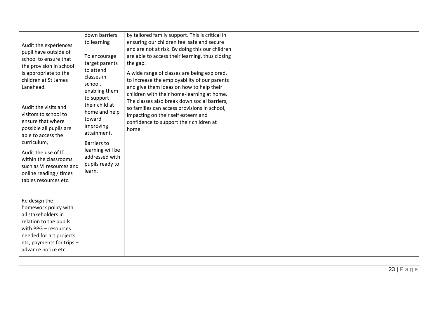| Audit the experiences<br>pupil have outside of<br>school to ensure that<br>the provision in school<br>is appropriate to the<br>children at St James                                                                                                                            | down barriers<br>to learning<br>To encourage<br>target parents<br>to attend<br>classes in                                                                                                                | by tailored family support. This is critical in<br>ensuring our children feel safe and secure<br>and are not at risk. By doing this our children<br>are able to access their learning, thus closing<br>the gap.<br>A wide range of classes are being explored,<br>to increase the employability of our parents |  |  |
|--------------------------------------------------------------------------------------------------------------------------------------------------------------------------------------------------------------------------------------------------------------------------------|----------------------------------------------------------------------------------------------------------------------------------------------------------------------------------------------------------|----------------------------------------------------------------------------------------------------------------------------------------------------------------------------------------------------------------------------------------------------------------------------------------------------------------|--|--|
| Lanehead.<br>Audit the visits and<br>visitors to school to<br>ensure that where<br>possible all pupils are<br>able to access the<br>curriculum,<br>Audit the use of IT<br>within the classrooms<br>such as VI resources and<br>online reading / times<br>tables resources etc. | school,<br>enabling them<br>to support<br>their child at<br>home and help<br>toward<br>improving<br>attainment.<br><b>Barriers to</b><br>learning will be<br>addressed with<br>pupils ready to<br>learn. | and give them ideas on how to help their<br>children with their home-learning at home.<br>The classes also break down social barriers,<br>so families can access provisions in school,<br>impacting on their self esteem and<br>confidence to support their children at<br>home                                |  |  |
| Re design the<br>homework policy with<br>all stakeholders in<br>relation to the pupils<br>with PPG - resources<br>needed for art projects<br>etc, payments for trips -<br>advance notice etc                                                                                   |                                                                                                                                                                                                          |                                                                                                                                                                                                                                                                                                                |  |  |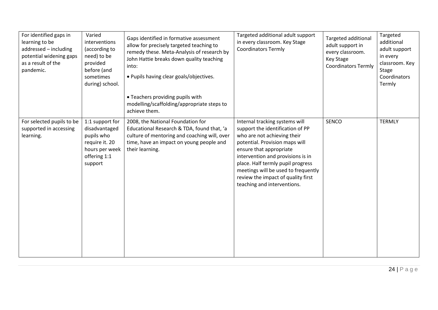| For identified gaps in<br>learning to be<br>addressed - including<br>potential widening gaps<br>as a result of the<br>pandemic. | Varied<br>interventions<br>(according to<br>need) to be<br>provided<br>before (and<br>sometimes<br>during) school. | Gaps identified in formative assessment<br>allow for precisely targeted teaching to<br>remedy these. Meta-Analysis of research by<br>John Hattie breaks down quality teaching<br>into:<br>• Pupils having clear goals/objectives.<br>• Teachers providing pupils with<br>modelling/scaffolding/appropriate steps to<br>achieve them. | Targeted additional adult support<br>in every classroom. Key Stage<br><b>Coordinators Termly</b>                                                                                                                                                                                                                                                     | Targeted additional<br>adult support in<br>every classroom.<br>Key Stage<br><b>Coordinators Termly</b> | Targeted<br>additional<br>adult support<br>in every<br>classroom. Key<br>Stage<br>Coordinators<br>Termly |
|---------------------------------------------------------------------------------------------------------------------------------|--------------------------------------------------------------------------------------------------------------------|--------------------------------------------------------------------------------------------------------------------------------------------------------------------------------------------------------------------------------------------------------------------------------------------------------------------------------------|------------------------------------------------------------------------------------------------------------------------------------------------------------------------------------------------------------------------------------------------------------------------------------------------------------------------------------------------------|--------------------------------------------------------------------------------------------------------|----------------------------------------------------------------------------------------------------------|
| For selected pupils to be<br>supported in accessing<br>learning.                                                                | 1:1 support for<br>disadvantaged<br>pupils who<br>require it. 20<br>hours per week<br>offering 1:1<br>support      | 2008, the National Foundation for<br>Educational Research & TDA, found that, 'a<br>culture of mentoring and coaching will, over<br>time, have an impact on young people and<br>their learning.                                                                                                                                       | Internal tracking systems will<br>support the identification of PP<br>who are not achieving their<br>potential. Provision maps will<br>ensure that appropriate<br>intervention and provisions is in<br>place. Half termly pupil progress<br>meetings will be used to frequently<br>review the impact of quality first<br>teaching and interventions. | SENCO                                                                                                  | <b>TERMLY</b>                                                                                            |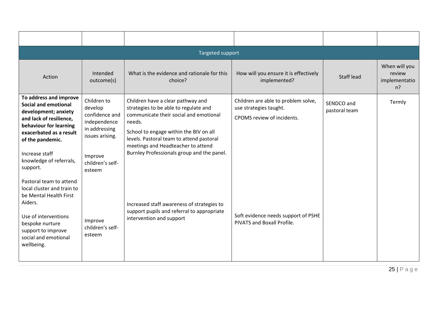| Targeted support                                                                                                                                                                                                                                                                                                              |                                                                                                                                       |                                                                                                                                                                                                                                                                                                          |                                                                                             |                             |                                                   |  |
|-------------------------------------------------------------------------------------------------------------------------------------------------------------------------------------------------------------------------------------------------------------------------------------------------------------------------------|---------------------------------------------------------------------------------------------------------------------------------------|----------------------------------------------------------------------------------------------------------------------------------------------------------------------------------------------------------------------------------------------------------------------------------------------------------|---------------------------------------------------------------------------------------------|-----------------------------|---------------------------------------------------|--|
| Action                                                                                                                                                                                                                                                                                                                        | Intended<br>outcome(s)                                                                                                                | What is the evidence and rationale for this<br>choice?                                                                                                                                                                                                                                                   | How will you ensure it is effectively<br>implemented?                                       | Staff lead                  | When will you<br>review<br>implementatio<br>$n$ ? |  |
| To address and improve<br><b>Social and emotional</b><br>development; anxiety<br>and lack of resilience,<br>behaviour for learning<br>exacerbated as a result<br>of the pandemic.<br>Increase staff<br>knowledge of referrals,<br>support.<br>Pastoral team to attend<br>local cluster and train to<br>be Mental Health First | Children to<br>develop<br>confidence and<br>independence<br>in addressing<br>issues arising.<br>Improve<br>children's self-<br>esteem | Children have a clear pathway and<br>strategies to be able to regulate and<br>communicate their social and emotional<br>needs.<br>School to engage within the BIV on all<br>levels. Pastoral team to attend pastoral<br>meetings and Headteacher to attend<br>Burnley Professionals group and the panel. | Children are able to problem solve,<br>use strategies taught.<br>CPOMS review of incidents. | SENDCO and<br>pastoral team | Termly                                            |  |
| Aiders.<br>Use of interventions<br>bespoke nurture<br>support to improve<br>social and emotional<br>wellbeing.                                                                                                                                                                                                                | Improve<br>children's self-<br>esteem                                                                                                 | Increased staff awareness of strategies to<br>support pupils and referral to appropriate<br>intervention and support                                                                                                                                                                                     | Soft evidence needs support of PSHE<br>PIVATS and Boxall Profile.                           |                             |                                                   |  |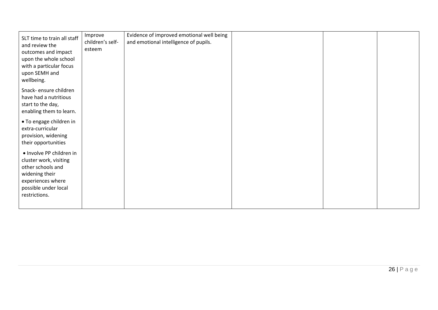| SLT time to train all staff<br>and review the<br>outcomes and impact<br>upon the whole school<br>with a particular focus<br>upon SEMH and<br>wellbeing. | Improve<br>children's self-<br>esteem | Evidence of improved emotional well being<br>and emotional intelligence of pupils. |  |  |
|---------------------------------------------------------------------------------------------------------------------------------------------------------|---------------------------------------|------------------------------------------------------------------------------------|--|--|
| Snack- ensure children<br>have had a nutritious<br>start to the day,<br>enabling them to learn.                                                         |                                       |                                                                                    |  |  |
| • To engage children in<br>extra-curricular<br>provision, widening<br>their opportunities                                                               |                                       |                                                                                    |  |  |
| · Involve PP children in<br>cluster work, visiting<br>other schools and<br>widening their<br>experiences where<br>possible under local<br>restrictions. |                                       |                                                                                    |  |  |